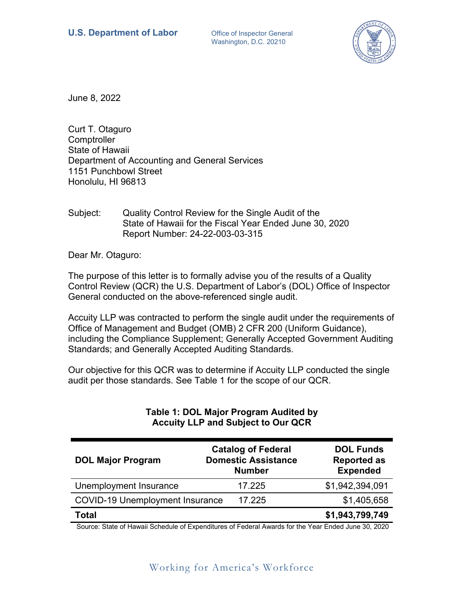Washington, D.C. 20210



June 8, 2022

Curt T. Otaguro **Comptroller** State of Hawaii Department of Accounting and General Services 1151 Punchbowl Street Honolulu, HI 96813

Subject: Quality Control Review for the Single Audit of the State of Hawaii for the Fiscal Year Ended June 30, 2020 Report Number: 24-22-003-03-315

Dear Mr. Otaguro:

The purpose of this letter is to formally advise you of the results of a Quality Control Review (QCR) the U.S. Department of Labor's (DOL) Office of Inspector General conducted on the above-referenced single audit.

Accuity LLP was contracted to perform the single audit under the requirements of Office of Management and Budget (OMB) 2 CFR 200 (Uniform Guidance), including the Compliance Supplement; Generally Accepted Government Auditing Standards; and Generally Accepted Auditing Standards.

Our objective for this QCR was to determine if Accuity LLP conducted the single audit per those standards. See Table 1 for the scope of our QCR.

| <b>DOL Major Program</b>               | <b>Catalog of Federal</b><br><b>Domestic Assistance</b><br><b>Number</b> | <b>DOL Funds</b><br><b>Reported as</b><br><b>Expended</b> |
|----------------------------------------|--------------------------------------------------------------------------|-----------------------------------------------------------|
| Unemployment Insurance                 | 17.225                                                                   | \$1,942,394,091                                           |
| <b>COVID-19 Unemployment Insurance</b> | 17.225                                                                   | \$1,405,658                                               |
| Total                                  |                                                                          | \$1,943,799,749                                           |

## **Table 1: DOL Major Program Audited by Accuity LLP and Subject to Our QCR**

Source: State of Hawaii Schedule of Expenditures of Federal Awards for the Year Ended June 30, 2020